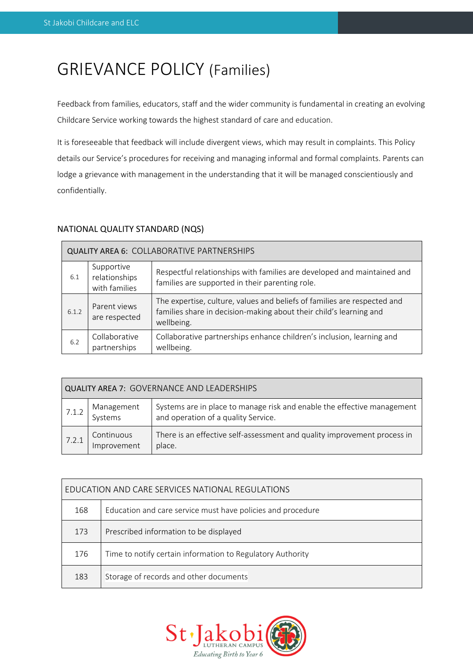# GRIEVANCE POLICY (Families)

Feedback from families, educators, staff and the wider community is fundamental in creating an evolving Childcare Service working towards the highest standard of care and education.

It is foreseeable that feedback will include divergent views, which may result in complaints. This Policy details our Service's procedures for receiving and managing informal and formal complaints. Parents can lodge a grievance with management in the understanding that it will be managed conscientiously and confidentially.

# NATIONAL QUALITY STANDARD (NQS)

| <b>QUALITY AREA 6: COLLABORATIVE PARTNERSHIPS</b> |                                              |                                                                                                                                                              |  |  |  |  |  |
|---------------------------------------------------|----------------------------------------------|--------------------------------------------------------------------------------------------------------------------------------------------------------------|--|--|--|--|--|
| 6.1                                               | Supportive<br>relationships<br>with families | Respectful relationships with families are developed and maintained and<br>families are supported in their parenting role.                                   |  |  |  |  |  |
| 6.1.2                                             | Parent views<br>are respected                | The expertise, culture, values and beliefs of families are respected and<br>families share in decision-making about their child's learning and<br>wellbeing. |  |  |  |  |  |
| 6.2                                               | Collaborative<br>partnerships                | Collaborative partnerships enhance children's inclusion, learning and<br>wellbeing.                                                                          |  |  |  |  |  |

| <b>QUALITY AREA 7: GOVERNANCE AND LEADERSHIPS</b> |                           |                                                                                                                |  |  |  |  |  |
|---------------------------------------------------|---------------------------|----------------------------------------------------------------------------------------------------------------|--|--|--|--|--|
| 7.1.2                                             | Management<br>Systems     | Systems are in place to manage risk and enable the effective management<br>and operation of a quality Service. |  |  |  |  |  |
| 7.2.1                                             | Continuous<br>Improvement | There is an effective self-assessment and quality improvement process in<br>place.                             |  |  |  |  |  |

| EDUCATION AND CARE SERVICES NATIONAL REGULATIONS |                                                             |  |  |  |  |
|--------------------------------------------------|-------------------------------------------------------------|--|--|--|--|
| 168                                              | Education and care service must have policies and procedure |  |  |  |  |
| 173                                              | Prescribed information to be displayed                      |  |  |  |  |
| 176                                              | Time to notify certain information to Regulatory Authority  |  |  |  |  |
| 183                                              | Storage of records and other documents                      |  |  |  |  |

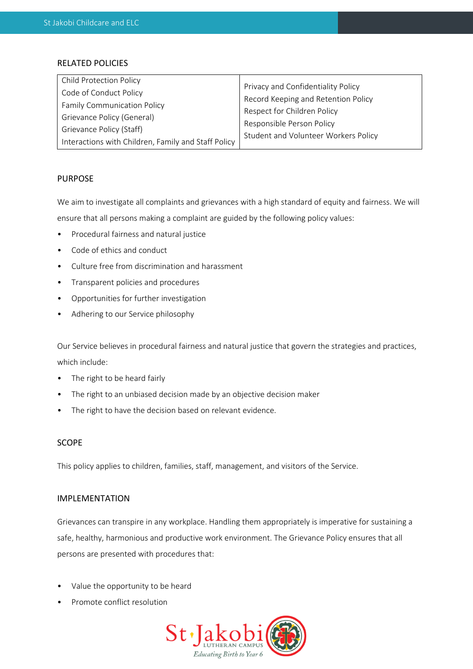# RELATED POLICIES

| <b>Child Protection Policy</b>                      | Privacy and Confidentiality Policy                                 |  |  |
|-----------------------------------------------------|--------------------------------------------------------------------|--|--|
| Code of Conduct Policy                              |                                                                    |  |  |
|                                                     | Record Keeping and Retention Policy<br>Respect for Children Policy |  |  |
| <b>Family Communication Policy</b>                  |                                                                    |  |  |
| Grievance Policy (General)                          |                                                                    |  |  |
| Grievance Policy (Staff)                            | Responsible Person Policy                                          |  |  |
|                                                     | Student and Volunteer Workers Policy                               |  |  |
| Interactions with Children, Family and Staff Policy |                                                                    |  |  |

# PURPOSE

We aim to investigate all complaints and grievances with a high standard of equity and fairness. We will ensure that all persons making a complaint are guided by the following policy values:

- Procedural fairness and natural justice
- Code of ethics and conduct
- Culture free from discrimination and harassment
- Transparent policies and procedures
- Opportunities for further investigation
- Adhering to our Service philosophy

Our Service believes in procedural fairness and natural justice that govern the strategies and practices, which include:

- The right to be heard fairly
- The right to an unbiased decision made by an objective decision maker
- The right to have the decision based on relevant evidence.

# SCOPE

This policy applies to children, families, staff, management, and visitors of the Service.

# IMPLEMENTATION

Grievances can transpire in any workplace. Handling them appropriately is imperative for sustaining a safe, healthy, harmonious and productive work environment. The Grievance Policy ensures that all persons are presented with procedures that:

- Value the opportunity to be heard
- Promote conflict resolution

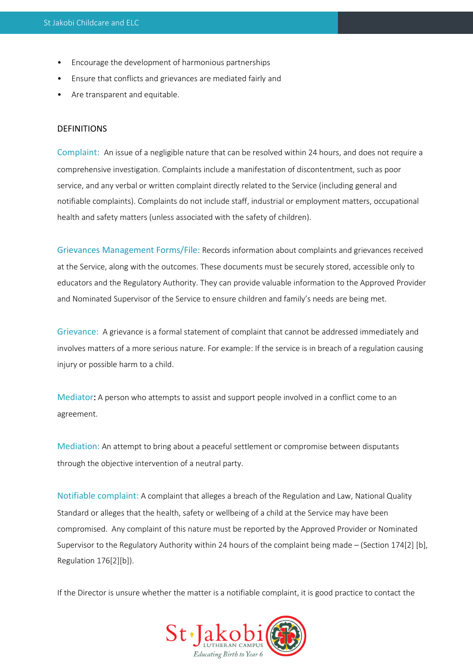- Encourage the development of harmonious partnerships
- Ensure that conflicts and grievances are mediated fairly and
- Are transparent and equitable.

# DEFINITIONS

Complaint: An issue of a negligible nature that can be resolved within 24 hours, and does not require a comprehensive investigation. Complaints include a manifestation of discontentment, such as poor service, and any verbal or written complaint directly related to the Service (including general and notifiable complaints). Complaints do not include staff, industrial or employment matters, occupational health and safety matters (unless associated with the safety of children).

Grievances Management Forms/File: Records information about complaints and grievances received at the Service, along with the outcomes. These documents must be securely stored, accessible only to educators and the Regulatory Authority. They can provide valuable information to the Approved Provider and Nominated Supervisor of the Service to ensure children and family's needs are being met.

Grievance: A grievance is a formal statement of complaint that cannot be addressed immediately and involves matters of a more serious nature. For example: If the service is in breach of a regulation causing injury or possible harm to a child.

Mediator: A person who attempts to assist and support people involved in a conflict come to an agreement.

Mediation: An attempt to bring about a peaceful settlement or compromise between disputants through the objective intervention of a neutral party.

Notifiable complaint: A complaint that alleges a breach of the Regulation and Law, National Quality Standard or alleges that the health, safety or wellbeing of a child at the Service may have been compromised. Any complaint of this nature must be reported by the Approved Provider or Nominated Supervisor to the Regulatory Authority within 24 hours of the complaint being made – (Section 174[2] [b], Regulation 176[2][b]).

If the Director is unsure whether the matter is a notifiable complaint, it is good practice to contact the

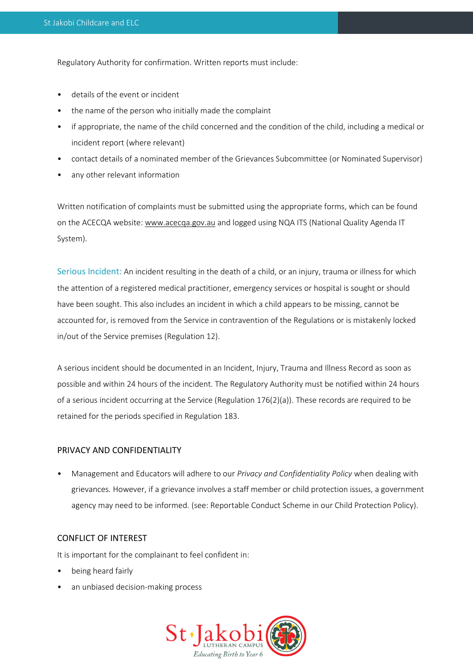Regulatory Authority for confirmation. Written reports must include:

- details of the event or incident
- the name of the person who initially made the complaint
- if appropriate, the name of the child concerned and the condition of the child, including a medical or incident report (where relevant)
- contact details of a nominated member of the Grievances Subcommittee (or Nominated Supervisor)
- any other relevant information

Written notification of complaints must be submitted using the appropriate forms, which can be found on the ACECQA website[: www.acecqa.gov.au](http://www.acecqa.gov.au/) and logged using NQA ITS (National Quality Agenda IT System).

Serious Incident: An incident resulting in the death of a child, or an injury, trauma or illness for which the attention of a registered medical practitioner, emergency services or hospital is sought or should have been sought. This also includes an incident in which a child appears to be missing, cannot be accounted for, is removed from the Service in contravention of the Regulations or is mistakenly locked in/out of the Service premises (Regulation 12).

A serious incident should be documented in an Incident, Injury, Trauma and Illness Record as soon as possible and within 24 hours of the incident. The Regulatory Authority must be notified within 24 hours of a serious incident occurring at the Service (Regulation 176(2)(a)). These records are required to be retained for the periods specified in Regulation 183.

# PRIVACY AND CONFIDENTIALITY

• Management and Educators will adhere to our *Privacy and Confidentiality Policy* when dealing with grievances. However, if a grievance involves a staff member or child protection issues, a government agency may need to be informed. (see: Reportable Conduct Scheme in our Child Protection Policy).

#### CONFLICT OF INTEREST

It is important for the complainant to feel confident in:

- being heard fairly
- an unbiased decision-making process

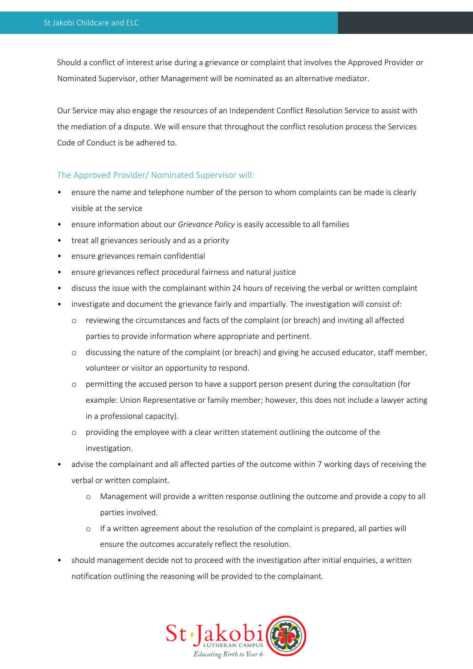Should a conflict of interest arise during a grievance or complaint that involves the Approved Provider or Nominated Supervisor, other Management will be nominated as an alternative mediator.

Our Service may also engage the resources of an Independent Conflict Resolution Service to assist with the mediation of a dispute. We will ensure that throughout the conflict resolution process the Services Code of Conduct is be adhered to.

# The Approved Provider/ Nominated Supervisor will:

- ensure the name and telephone number of the person to whom complaints can be made is clearly visible at the service
- ensure information about our *Grievance Policy* is easily accessible to all families
- treat all grievances seriously and as a priority
- ensure grievances remain confidential
- ensure grievances reflect procedural fairness and natural justice
- discuss the issue with the complainant within 24 hours of receiving the verbal or written complaint
- investigate and document the grievance fairly and impartially. The investigation will consist of:
	- o reviewing the circumstances and facts of the complaint (or breach) and inviting all affected parties to provide information where appropriate and pertinent.
	- o discussing the nature of the complaint (or breach) and giving he accused educator, staff member, volunteer or visitor an opportunity to respond.
	- o permitting the accused person to have a support person present during the consultation (for example: Union Representative or family member; however, this does not include a lawyer acting in a professional capacity).
	- o providing the employee with a clear written statement outlining the outcome of the investigation.
- advise the complainant and all affected parties of the outcome within 7 working days of receiving the verbal or written complaint.
	- Management will provide a written response outlining the outcome and provide a copy to all parties involved.
	- o If a written agreement about the resolution of the complaint is prepared, all parties will ensure the outcomes accurately reflect the resolution.
- should management decide not to proceed with the investigation after initial enquiries, a written notification outlining the reasoning will be provided to the complainant.

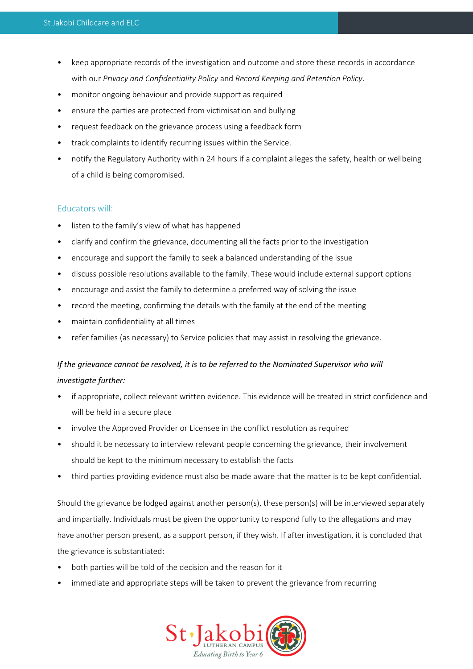- keep appropriate records of the investigation and outcome and store these records in accordance with our *Privacy and Confidentiality Policy* and *Record Keeping and Retention Policy*.
- monitor ongoing behaviour and provide support as required
- ensure the parties are protected from victimisation and bullying
- request feedback on the grievance process using a feedback form
- track complaints to identify recurring issues within the Service.
- notify the Regulatory Authority within 24 hours if a complaint alleges the safety, health or wellbeing of a child is being compromised.

# Educators will:

- listen to the family's view of what has happened
- clarify and confirm the grievance, documenting all the facts prior to the investigation
- encourage and support the family to seek a balanced understanding of the issue
- discuss possible resolutions available to the family. These would include external support options
- encourage and assist the family to determine a preferred way of solving the issue
- record the meeting, confirming the details with the family at the end of the meeting
- maintain confidentiality at all times
- refer families (as necessary) to Service policies that may assist in resolving the grievance.

# *If the grievance cannot be resolved, it is to be referred to the Nominated Supervisor who will investigate further:*

- if appropriate, collect relevant written evidence. This evidence will be treated in strict confidence and will be held in a secure place
- involve the Approved Provider or Licensee in the conflict resolution as required
- should it be necessary to interview relevant people concerning the grievance, their involvement should be kept to the minimum necessary to establish the facts
- third parties providing evidence must also be made aware that the matter is to be kept confidential.

Should the grievance be lodged against another person(s), these person(s) will be interviewed separately and impartially. Individuals must be given the opportunity to respond fully to the allegations and may have another person present, as a support person, if they wish. If after investigation, it is concluded that the grievance is substantiated:

- both parties will be told of the decision and the reason for it
- immediate and appropriate steps will be taken to prevent the grievance from recurring

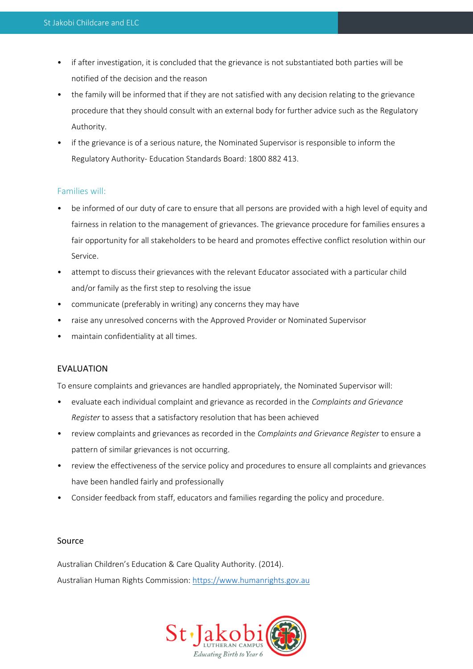- if after investigation, it is concluded that the grievance is not substantiated both parties will be notified of the decision and the reason
- the family will be informed that if they are not satisfied with any decision relating to the grievance procedure that they should consult with an external body for further advice such as the Regulatory Authority.
- if the grievance is of a serious nature, the Nominated Supervisor is responsible to inform the Regulatory Authority- Education Standards Board: 1800 882 413.

# Families will:

- be informed of our duty of care to ensure that all persons are provided with a high level of equity and fairness in relation to the management of grievances. The grievance procedure for families ensures a fair opportunity for all stakeholders to be heard and promotes effective conflict resolution within our Service.
- attempt to discuss their grievances with the relevant Educator associated with a particular child and/or family as the first step to resolving the issue
- communicate (preferably in writing) any concerns they may have
- raise any unresolved concerns with the Approved Provider or Nominated Supervisor
- maintain confidentiality at all times.

# EVALUATION

To ensure complaints and grievances are handled appropriately, the Nominated Supervisor will:

- evaluate each individual complaint and grievance as recorded in the *Complaints and Grievance Register* to assess that a satisfactory resolution that has been achieved
- review complaints and grievances as recorded in the *Complaints and Grievance Register* to ensure a pattern of similar grievances is not occurring.
- review the effectiveness of the service policy and procedures to ensure all complaints and grievances have been handled fairly and professionally
- Consider feedback from staff, educators and families regarding the policy and procedure.

# Source

Australian Children's Education & Care Quality Authority. (2014). Australian Human Rights Commission: [https://www.humanrights.gov.au](https://www.humanrights.gov.au/)